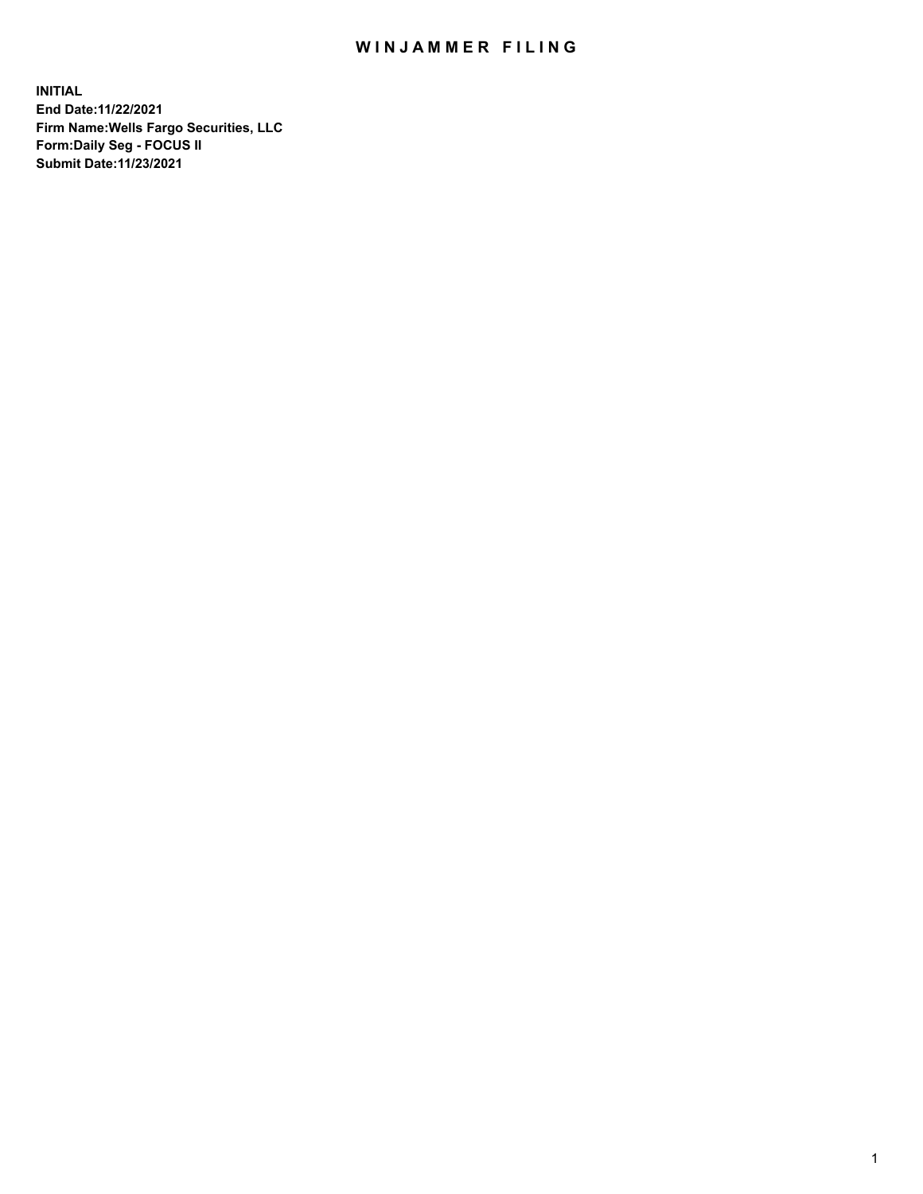## WIN JAMMER FILING

**INITIAL End Date:11/22/2021 Firm Name:Wells Fargo Securities, LLC Form:Daily Seg - FOCUS II Submit Date:11/23/2021**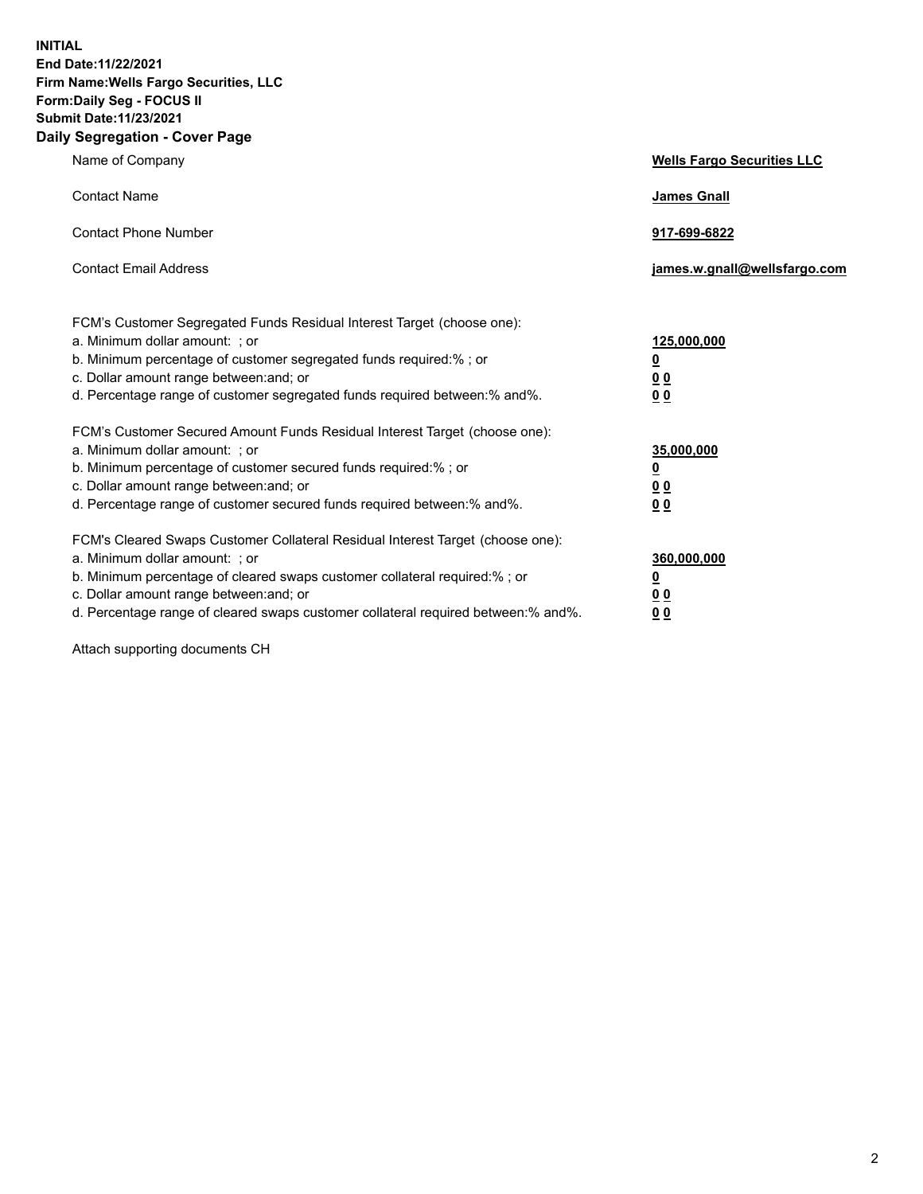**INITIAL End Date:11/22/2021 Firm Name:Wells Fargo Securities, LLC Form:Daily Seg - FOCUS II Submit Date:11/23/2021 Daily Segregation - Cover Page**

| Name of Company                                                                                                                                                                                                                                                                                                                | <b>Wells Fargo Securities LLC</b>                      |
|--------------------------------------------------------------------------------------------------------------------------------------------------------------------------------------------------------------------------------------------------------------------------------------------------------------------------------|--------------------------------------------------------|
| <b>Contact Name</b>                                                                                                                                                                                                                                                                                                            | <b>James Gnall</b>                                     |
| <b>Contact Phone Number</b>                                                                                                                                                                                                                                                                                                    | 917-699-6822                                           |
| <b>Contact Email Address</b>                                                                                                                                                                                                                                                                                                   | james.w.gnall@wellsfargo.com                           |
| FCM's Customer Segregated Funds Residual Interest Target (choose one):<br>a. Minimum dollar amount: ; or<br>b. Minimum percentage of customer segregated funds required:% ; or<br>c. Dollar amount range between: and; or<br>d. Percentage range of customer segregated funds required between: % and %.                       | 125,000,000<br><u>0</u><br><u>00</u><br>0 <sub>0</sub> |
| FCM's Customer Secured Amount Funds Residual Interest Target (choose one):<br>a. Minimum dollar amount: ; or<br>b. Minimum percentage of customer secured funds required:%; or<br>c. Dollar amount range between: and; or<br>d. Percentage range of customer secured funds required between: % and %.                          | 35,000,000<br><u>0</u><br>00<br>0 <sub>0</sub>         |
| FCM's Cleared Swaps Customer Collateral Residual Interest Target (choose one):<br>a. Minimum dollar amount: ; or<br>b. Minimum percentage of cleared swaps customer collateral required:% ; or<br>c. Dollar amount range between: and; or<br>d. Percentage range of cleared swaps customer collateral required between:% and%. | 360,000,000<br><u>0</u><br>0 Q<br>00                   |

Attach supporting documents CH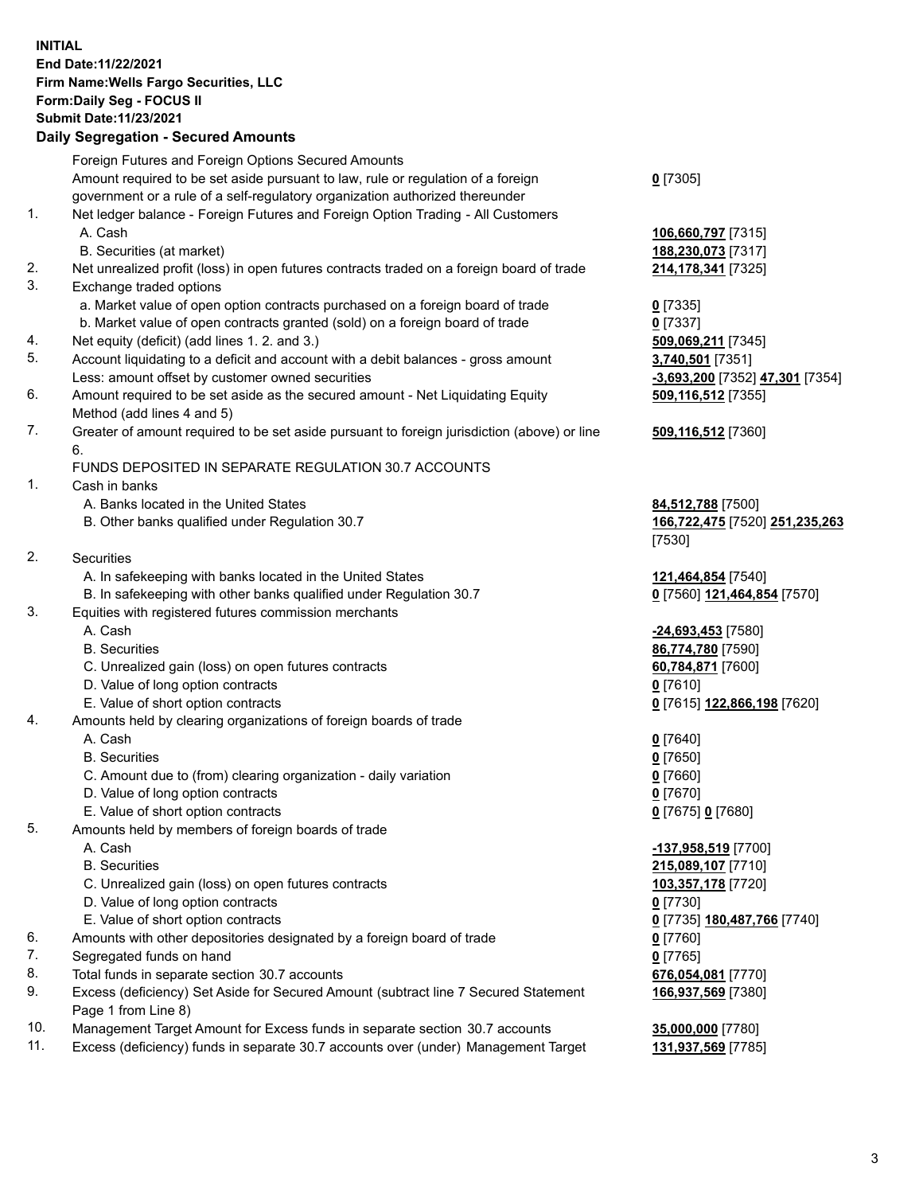**INITIAL End Date:11/22/2021 Firm Name:Wells Fargo Securities, LLC Form:Daily Seg - FOCUS II Submit Date:11/23/2021**

## **Daily Segregation - Secured Amounts**

|     | Foreign Futures and Foreign Options Secured Amounts                                         |                                 |
|-----|---------------------------------------------------------------------------------------------|---------------------------------|
|     | Amount required to be set aside pursuant to law, rule or regulation of a foreign            | $0$ [7305]                      |
|     | government or a rule of a self-regulatory organization authorized thereunder                |                                 |
| 1.  | Net ledger balance - Foreign Futures and Foreign Option Trading - All Customers             |                                 |
|     | A. Cash                                                                                     | 106,660,797 [7315]              |
|     | B. Securities (at market)                                                                   | 188,230,073 [7317]              |
| 2.  | Net unrealized profit (loss) in open futures contracts traded on a foreign board of trade   | 214,178,341 [7325]              |
| 3.  | Exchange traded options                                                                     |                                 |
|     | a. Market value of open option contracts purchased on a foreign board of trade              | $0$ [7335]                      |
|     | b. Market value of open contracts granted (sold) on a foreign board of trade                | $0$ [7337]                      |
| 4.  | Net equity (deficit) (add lines 1. 2. and 3.)                                               | 509,069,211 [7345]              |
| 5.  | Account liquidating to a deficit and account with a debit balances - gross amount           | 3,740,501 [7351]                |
|     | Less: amount offset by customer owned securities                                            | -3,693,200 [7352] 47,301 [7354] |
| 6.  | Amount required to be set aside as the secured amount - Net Liquidating Equity              | 509,116,512 [7355]              |
|     |                                                                                             |                                 |
| 7.  | Method (add lines 4 and 5)                                                                  |                                 |
|     | Greater of amount required to be set aside pursuant to foreign jurisdiction (above) or line | 509,116,512 [7360]              |
|     | 6.                                                                                          |                                 |
| 1.  | FUNDS DEPOSITED IN SEPARATE REGULATION 30.7 ACCOUNTS<br>Cash in banks                       |                                 |
|     |                                                                                             |                                 |
|     | A. Banks located in the United States                                                       | 84,512,788 [7500]               |
|     | B. Other banks qualified under Regulation 30.7                                              | 166,722,475 [7520] 251,235,263  |
|     |                                                                                             | [7530]                          |
| 2.  | <b>Securities</b>                                                                           |                                 |
|     | A. In safekeeping with banks located in the United States                                   | 121,464,854 [7540]              |
|     | B. In safekeeping with other banks qualified under Regulation 30.7                          | 0 [7560] 121,464,854 [7570]     |
| 3.  | Equities with registered futures commission merchants                                       |                                 |
|     | A. Cash                                                                                     | -24,693,453 [7580]              |
|     | <b>B.</b> Securities                                                                        | 86,774,780 [7590]               |
|     | C. Unrealized gain (loss) on open futures contracts                                         | 60,784,871 [7600]               |
|     | D. Value of long option contracts                                                           | $0$ [7610]                      |
|     | E. Value of short option contracts                                                          | 0 [7615] 122,866,198 [7620]     |
| 4.  | Amounts held by clearing organizations of foreign boards of trade                           |                                 |
|     | A. Cash                                                                                     | $0$ [7640]                      |
|     | <b>B.</b> Securities                                                                        | $0$ [7650]                      |
|     | C. Amount due to (from) clearing organization - daily variation                             | $0$ [7660]                      |
|     | D. Value of long option contracts                                                           | $0$ [7670]                      |
|     | E. Value of short option contracts                                                          | 0 [7675] 0 [7680]               |
| 5.  | Amounts held by members of foreign boards of trade                                          |                                 |
|     | A. Cash                                                                                     | -137,958,519 [7700]             |
|     | <b>B.</b> Securities                                                                        | 215,089,107 [7710]              |
|     | C. Unrealized gain (loss) on open futures contracts                                         | 103,357,178 [7720]              |
|     | D. Value of long option contracts                                                           | $0$ [7730]                      |
|     | E. Value of short option contracts                                                          | 0 [7735] 180,487,766 [7740]     |
| 6.  | Amounts with other depositories designated by a foreign board of trade                      | 0 [7760]                        |
| 7.  | Segregated funds on hand                                                                    | $0$ [7765]                      |
| 8.  | Total funds in separate section 30.7 accounts                                               | 676,054,081 [7770]              |
| 9.  | Excess (deficiency) Set Aside for Secured Amount (subtract line 7 Secured Statement         | 166,937,569 [7380]              |
|     | Page 1 from Line 8)                                                                         |                                 |
| 10. | Management Target Amount for Excess funds in separate section 30.7 accounts                 | 35,000,000 [7780]               |
|     |                                                                                             |                                 |

11. Excess (deficiency) funds in separate 30.7 accounts over (under) Management Target **131,937,569** [7785]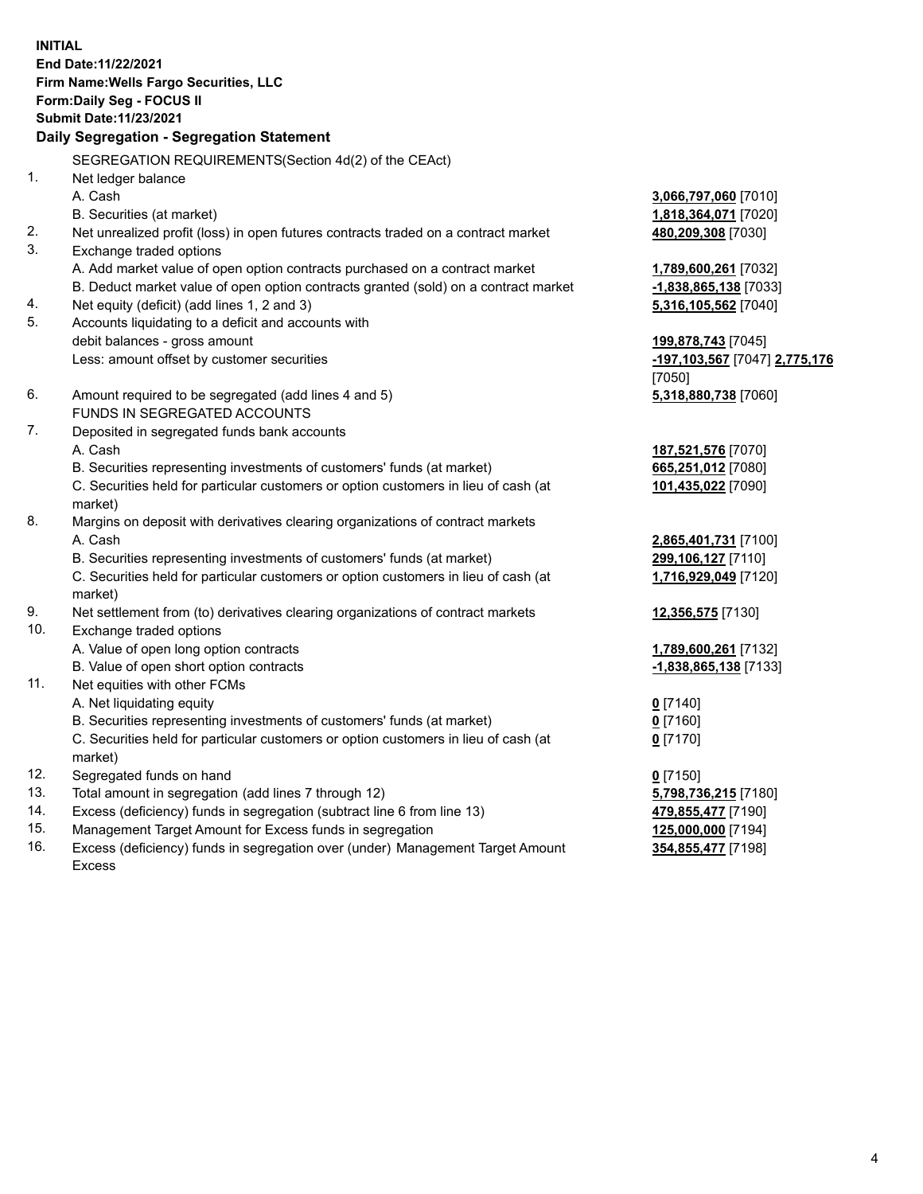**INITIAL End Date:11/22/2021 Firm Name:Wells Fargo Securities, LLC Form:Daily Seg - FOCUS II Submit Date:11/23/2021 Daily Segregation - Segregation Statement** SEGREGATION REQUIREMENTS(Section 4d(2) of the CEAct) 1. Net ledger balance

|     | A. Cash                                                                             | 3,066,797,060 [7010]          |
|-----|-------------------------------------------------------------------------------------|-------------------------------|
|     | B. Securities (at market)                                                           | 1,818,364,071 [7020]          |
| 2.  | Net unrealized profit (loss) in open futures contracts traded on a contract market  | 480,209,308 [7030]            |
| 3.  | Exchange traded options                                                             |                               |
|     | A. Add market value of open option contracts purchased on a contract market         | 1,789,600,261 [7032]          |
|     | B. Deduct market value of open option contracts granted (sold) on a contract market | -1,838,865,138 [7033]         |
| 4.  | Net equity (deficit) (add lines 1, 2 and 3)                                         | 5,316,105,562 [7040]          |
| 5.  | Accounts liquidating to a deficit and accounts with                                 |                               |
|     | debit balances - gross amount                                                       | 199,878,743 [7045]            |
|     | Less: amount offset by customer securities                                          | -197,103,567 [7047] 2,775,176 |
|     |                                                                                     | [7050]                        |
| 6.  | Amount required to be segregated (add lines 4 and 5)                                | 5,318,880,738 [7060]          |
|     | FUNDS IN SEGREGATED ACCOUNTS                                                        |                               |
| 7.  | Deposited in segregated funds bank accounts                                         |                               |
|     | A. Cash                                                                             | 187,521,576 [7070]            |
|     | B. Securities representing investments of customers' funds (at market)              | 665,251,012 [7080]            |
|     | C. Securities held for particular customers or option customers in lieu of cash (at | 101,435,022 [7090]            |
|     | market)                                                                             |                               |
| 8.  | Margins on deposit with derivatives clearing organizations of contract markets      |                               |
|     | A. Cash                                                                             | 2,865,401,731 [7100]          |
|     | B. Securities representing investments of customers' funds (at market)              | 299,106,127 [7110]            |
|     | C. Securities held for particular customers or option customers in lieu of cash (at | 1,716,929,049 [7120]          |
|     | market)                                                                             |                               |
| 9.  | Net settlement from (to) derivatives clearing organizations of contract markets     | 12,356,575 [7130]             |
| 10. | Exchange traded options                                                             |                               |
|     | A. Value of open long option contracts                                              | 1,789,600,261 [7132]          |
|     | B. Value of open short option contracts                                             | -1,838,865,138 [7133]         |
| 11. | Net equities with other FCMs                                                        |                               |
|     | A. Net liquidating equity                                                           | $0$ [7140]                    |
|     | B. Securities representing investments of customers' funds (at market)              | $0$ [7160]                    |
|     | C. Securities held for particular customers or option customers in lieu of cash (at | $0$ [7170]                    |
|     | market)                                                                             |                               |
| 12. | Segregated funds on hand                                                            | $0$ [7150]                    |
| 13. | Total amount in segregation (add lines 7 through 12)                                | 5,798,736,215 [7180]          |
| 14. | Excess (deficiency) funds in segregation (subtract line 6 from line 13)             | 479,855,477 [7190]            |
| 15. | Management Target Amount for Excess funds in segregation                            | 125,000,000 [7194]            |
| 16. | Excess (deficiency) funds in segregation over (under) Management Target Amount      | 354,855,477 [7198]            |
|     | <b>Excess</b>                                                                       |                               |